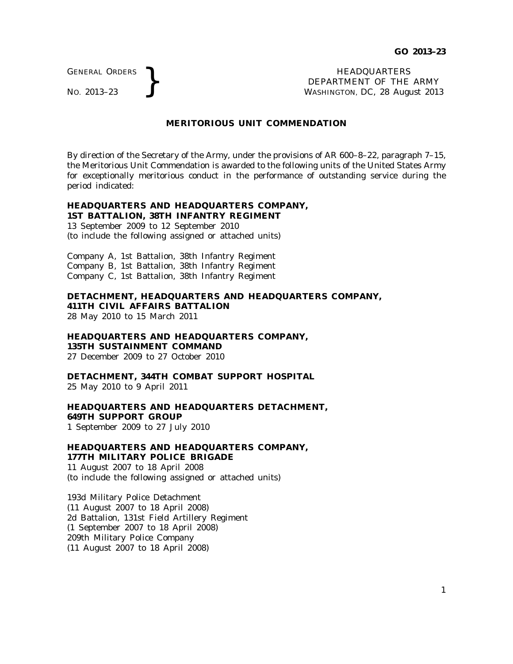GENERAL ORDERS

GENERAL ORDERS **REAL ORDERS REAL ORDERS REAL ORDERS REAL ORDERS REAL ORDERS REAL ORDERS REAL ORDERS REAL ORDERS REAL ORDERS REAL ORDERS REAL ORDERS REAL ORDER REAL ORDER REAL ORDER AND MASHINGTON** DEPARTMENT OF THE ARMY WASHINGTON, DC, *28 August 2013*

#### **MERITORIOUS UNIT COMMENDATION**

By direction of the Secretary of the Army, under the provisions of AR 600–8–22, paragraph 7–15, the Meritorious Unit Commendation is awarded to the following units of the United States Army for exceptionally meritorious conduct in the performance of outstanding service during the period indicated:

#### **HEADQUARTERS AND HEADQUARTERS COMPANY, 1ST BATTALION, 38TH INFANTRY REGIMENT**

13 September 2009 to 12 September 2010 (to include the following assigned or attached units)

Company A, 1st Battalion, 38th Infantry Regiment Company B, 1st Battalion, 38th Infantry Regiment Company C, 1st Battalion, 38th Infantry Regiment

# **DETACHMENT, HEADQUARTERS AND HEADQUARTERS COMPANY, 411TH CIVIL AFFAIRS BATTALION**

28 May 2010 to 15 March 2011

#### **HEADQUARTERS AND HEADQUARTERS COMPANY, 135TH SUSTAINMENT COMMAND** 27 December 2009 to 27 October 2010

# **DETACHMENT, 344TH COMBAT SUPPORT HOSPITAL**

25 May 2010 to 9 April 2011

## **HEADQUARTERS AND HEADQUARTERS DETACHMENT, 649TH SUPPORT GROUP**

1 September 2009 to 27 July 2010

# **HEADQUARTERS AND HEADQUARTERS COMPANY, 177TH MILITARY POLICE BRIGADE**

11 August 2007 to 18 April 2008 (to include the following assigned or attached units)

193d Military Police Detachment (11 August 2007 to 18 April 2008) 2d Battalion, 131st Field Artillery Regiment (1 September 2007 to 18 April 2008) 209th Military Police Company (11 August 2007 to 18 April 2008)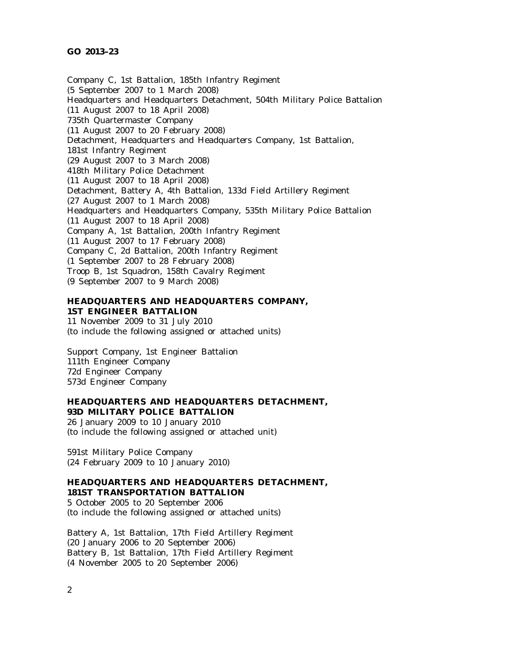Company C, 1st Battalion, 185th Infantry Regiment (5 September 2007 to 1 March 2008) Headquarters and Headquarters Detachment, 504th Military Police Battalion (11 August 2007 to 18 April 2008) 735th Quartermaster Company (11 August 2007 to 20 February 2008) Detachment, Headquarters and Headquarters Company, 1st Battalion, 181st Infantry Regiment (29 August 2007 to 3 March 2008) 418th Military Police Detachment (11 August 2007 to 18 April 2008) Detachment, Battery A, 4th Battalion, 133d Field Artillery Regiment (27 August 2007 to 1 March 2008) Headquarters and Headquarters Company, 535th Military Police Battalion (11 August 2007 to 18 April 2008) Company A, 1st Battalion, 200th Infantry Regiment (11 August 2007 to 17 February 2008) Company C, 2d Battalion, 200th Infantry Regiment (1 September 2007 to 28 February 2008) Troop B, 1st Squadron, 158th Cavalry Regiment (9 September 2007 to 9 March 2008)

#### **HEADQUARTERS AND HEADQUARTERS COMPANY, 1ST ENGINEER BATTALION**

11 November 2009 to 31 July 2010 (to include the following assigned or attached units)

Support Company, 1st Engineer Battalion 111th Engineer Company 72d Engineer Company 573d Engineer Company

### **HEADQUARTERS AND HEADQUARTERS DETACHMENT, 93D MILITARY POLICE BATTALION**

26 January 2009 to 10 January 2010 (to include the following assigned or attached unit)

591st Military Police Company (24 February 2009 to 10 January 2010)

#### **HEADQUARTERS AND HEADQUARTERS DETACHMENT, 181ST TRANSPORTATION BATTALION**

5 October 2005 to 20 September 2006 (to include the following assigned or attached units)

Battery A, 1st Battalion, 17th Field Artillery Regiment (20 January 2006 to 20 September 2006) Battery B, 1st Battalion, 17th Field Artillery Regiment (4 November 2005 to 20 September 2006)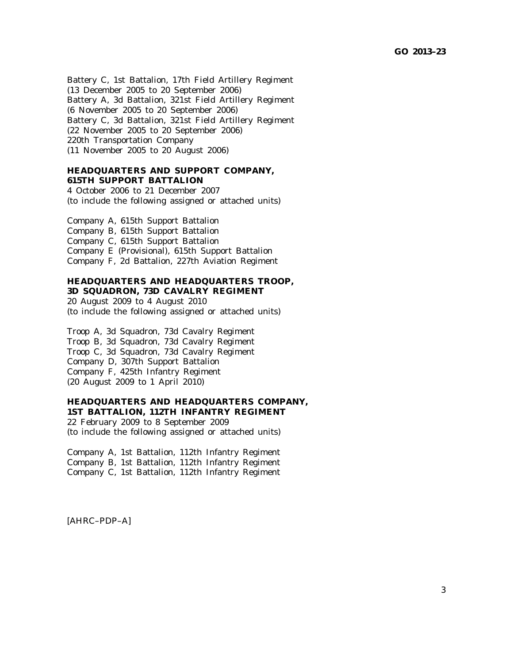Battery C, 1st Battalion, 17th Field Artillery Regiment (13 December 2005 to 20 September 2006) Battery A, 3d Battalion, 321st Field Artillery Regiment (6 November 2005 to 20 September 2006) Battery C, 3d Battalion, 321st Field Artillery Regiment (22 November 2005 to 20 September 2006) 220th Transportation Company (11 November 2005 to 20 August 2006)

## **HEADQUARTERS AND SUPPORT COMPANY, 615TH SUPPORT BATTALION**

4 October 2006 to 21 December 2007 (to include the following assigned or attached units)

Company A, 615th Support Battalion Company B, 615th Support Battalion Company C, 615th Support Battalion Company E (Provisional), 615th Support Battalion Company F, 2d Battalion, 227th Aviation Regiment

#### **HEADQUARTERS AND HEADQUARTERS TROOP, 3D SQUADRON, 73D CAVALRY REGIMENT**

20 August 2009 to 4 August 2010 (to include the following assigned or attached units)

Troop A, 3d Squadron, 73d Cavalry Regiment Troop B, 3d Squadron, 73d Cavalry Regiment Troop C, 3d Squadron, 73d Cavalry Regiment Company D, 307th Support Battalion Company F, 425th Infantry Regiment (20 August 2009 to 1 April 2010)

### **HEADQUARTERS AND HEADQUARTERS COMPANY, 1ST BATTALION, 112TH INFANTRY REGIMENT**

22 February 2009 to 8 September 2009 (to include the following assigned or attached units)

Company A, 1st Battalion, 112th Infantry Regiment Company B, 1st Battalion, 112th Infantry Regiment Company C, 1st Battalion, 112th Infantry Regiment

[AHRC–PDP–A]